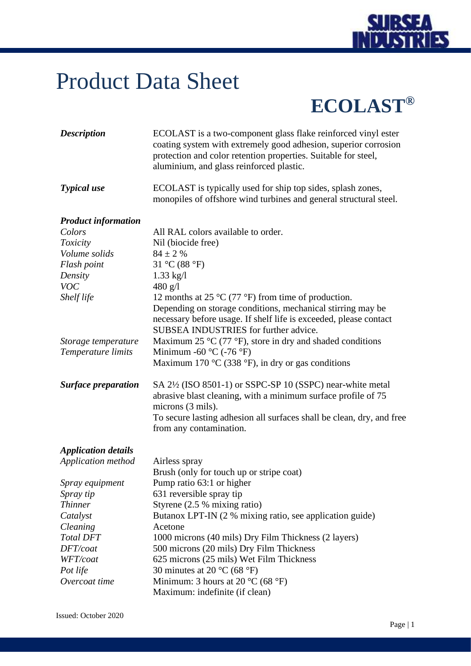

## Product Data Sheet

## **ECOLAST®**

| <b>Description</b>         | ECOLAST is a two-component glass flake reinforced vinyl ester<br>coating system with extremely good adhesion, superior corrosion<br>protection and color retention properties. Suitable for steel,<br>aluminium, and glass reinforced plastic.                |
|----------------------------|---------------------------------------------------------------------------------------------------------------------------------------------------------------------------------------------------------------------------------------------------------------|
| <b>Typical</b> use         | ECOLAST is typically used for ship top sides, splash zones,<br>monopiles of offshore wind turbines and general structural steel.                                                                                                                              |
| <b>Product information</b> |                                                                                                                                                                                                                                                               |
| Colors                     | All RAL colors available to order.                                                                                                                                                                                                                            |
| Toxicity                   | Nil (biocide free)                                                                                                                                                                                                                                            |
| Volume solids              | $84 \pm 2$ %                                                                                                                                                                                                                                                  |
| Flash point                | 31 °C (88 °F)                                                                                                                                                                                                                                                 |
| Density                    | $1.33 \text{ kg}/1$                                                                                                                                                                                                                                           |
| <b>VOC</b>                 | 480 g/l                                                                                                                                                                                                                                                       |
| Shelf life                 | 12 months at 25 $\rm{^{\circ}C}$ (77 $\rm{^{\circ}F}$ ) from time of production.<br>Depending on storage conditions, mechanical stirring may be<br>necessary before usage. If shelf life is exceeded, please contact<br>SUBSEA INDUSTRIES for further advice. |
| Storage temperature        | Maximum 25 $\rm{^{\circ}C}$ (77 $\rm{^{\circ}F}$ ), store in dry and shaded conditions                                                                                                                                                                        |
| Temperature limits         | Minimum -60 $^{\circ}$ C (-76 $^{\circ}$ F)<br>Maximum 170 $\rm{^{\circ}C}$ (338 $\rm{^{\circ}F}$ ), in dry or gas conditions                                                                                                                                 |
| <b>Surface preparation</b> | SA 2½ (ISO 8501-1) or SSPC-SP 10 (SSPC) near-white metal<br>abrasive blast cleaning, with a minimum surface profile of 75<br>microns (3 mils).<br>To secure lasting adhesion all surfaces shall be clean, dry, and free<br>from any contamination.            |
| <b>Application details</b> |                                                                                                                                                                                                                                                               |
| Application method         | Airless spray                                                                                                                                                                                                                                                 |
|                            | Brush (only for touch up or stripe coat)                                                                                                                                                                                                                      |
| Spray equipment            | Pump ratio 63:1 or higher                                                                                                                                                                                                                                     |
| Spray tip                  | 631 reversible spray tip                                                                                                                                                                                                                                      |
| <b>Thinner</b>             | Styrene $(2.5 %$ mixing ratio)                                                                                                                                                                                                                                |
| Catalyst                   | Butanox LPT-IN (2 % mixing ratio, see application guide)                                                                                                                                                                                                      |
| Cleaning                   | Acetone                                                                                                                                                                                                                                                       |
| <b>Total DFT</b>           | 1000 microns (40 mils) Dry Film Thickness (2 layers)                                                                                                                                                                                                          |
| DFT/coat                   | 500 microns (20 mils) Dry Film Thickness                                                                                                                                                                                                                      |
| WFT/coat                   | 625 microns (25 mils) Wet Film Thickness                                                                                                                                                                                                                      |
| Pot life                   | 30 minutes at 20 $^{\circ}$ C (68 $^{\circ}$ F)                                                                                                                                                                                                               |
| Overcoat time              | Minimum: 3 hours at 20 $^{\circ}$ C (68 $^{\circ}$ F)                                                                                                                                                                                                         |
|                            | Maximum: indefinite (if clean)                                                                                                                                                                                                                                |